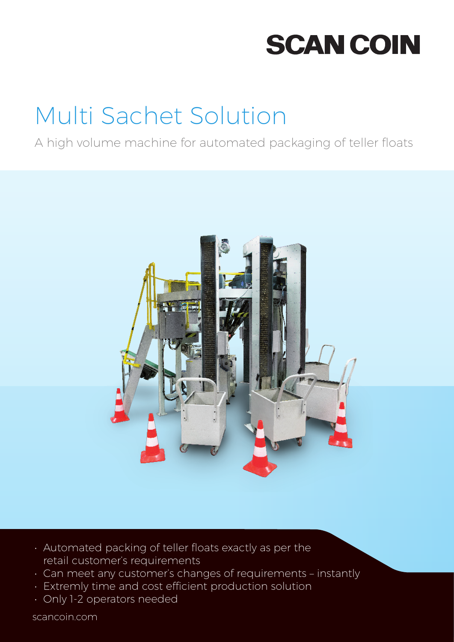# **SCAN COIN**

# Multi Sachet Solution

A high volume machine for automated packaging of teller floats



- Automated packing of teller floats exactly as per the retail customer's requirements
- Can meet any customer's changes of requirements instantly
- Extremly time and cost efficient production solution
- Only 1-2 operators needed

scancoin.com